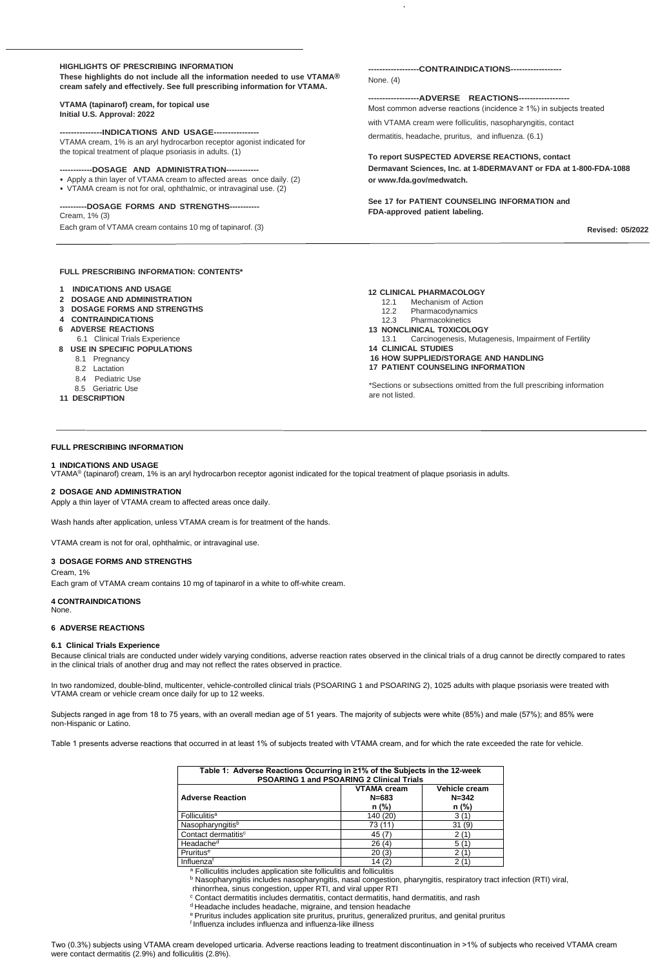#### **HIGHLIGHTS OF PRESCRIBING INFORMATION**

**These highlights do not include all the information needed to use VTAMA® cream safely and effectively. See full prescribing information for VTAMA.**

#### **VTAMA (tapinarof) cream, for topical use Initial U.S. Approval: 2022**

#### **---------------INDICATIONS AND USAGE----------------**

VTAMA cream, 1% is an aryl hydrocarbon receptor agonist indicated for the topical treatment of plaque psoriasis in adults. (1)

#### **------------DOSAGE AND ADMINISTRATION------------**

- Apply a thin layer of VTAMA cream to affected areas once daily. (2)
- VTAMA cream is not for oral, ophthalmic, or intravaginal use. (2)

#### **----------DOSAGE FORMS AND STRENGTHS-----------**

Cream, 1% (3) Each gram of VTAMA cream contains 10 mg of tapinarof. (3)

#### **FULL PRESCRIBING INFORMATION: CONTENTS\***

- **1 INDICATIONS AND USAGE**
- **2 DOSAGE AND ADMINISTRATION**
- **3 DOSAGE FORMS AND STRENGTHS**
- **4 CONTRAINDICATIONS**
- **6 ADVERSE REACTIONS**
- 6.1 Clinical Trials Experience
- **8 USE IN SPECIFIC POPULATIONS**
	- 8.1 Pregnancy
	- 8.2 Lactation
	- 8.4 Pediatric Use
	- 8.5 Geriatric Use
- **11 DESCRIPTION**

### **------------------CONTRAINDICATIONS------------------**

None. (4)

#### **------------------ADVERSE REACTIONS------------------**

Most common adverse reactions (incidence ≥ 1%) in subjects treated with VTAMA cream were folliculitis, nasopharyngitis, contact dermatitis, headache, pruritus, and influenza. (6.1)

#### **To report SUSPECTED ADVERSE REACTIONS, contact**

**Dermavant Sciences, Inc. at 1-8DERMAVANT or FDA at 1-800-FDA-1088 or [www.fda.gov/medwatch.](http://www.fda.gov/medwatch)**

**See 17 for PATIENT COUNSELING INFORMATION and FDA-approved patient labeling.**

**Revised: 05/2022**

#### **12 CLINICAL PHARMACOLOGY**

- 12.1 Mechanism of Action
- 12.2 Pharmacodynamics
- 12.3 Pharmacokinetics

### **13 NONCLINICAL TOXICOLOGY**

13.1 Carcinogenesis, Mutagenesis, Impairment of Fertility

#### **14 CLINICAL STUDIES**

**16 HOW SUPPLIED/STORAGE AND HANDLING**

#### **17 PATIENT COUNSELING INFORMATION**

\*Sections or subsections omitted from the full prescribing information are not listed.

#### **FULL PRESCRIBING INFORMATION**

#### **1 INDICATIONS AND USAGE**

b Nasopharyngitis includes nasopharyngitis, nasal congestion, pharyngitis, respiratory tract infection (RTI) viral, rhinorrhea, sinus congestion, upper RTI, and viral upper RTI

VTAMA® (tapinarof) cream, 1% is an aryl hydrocarbon receptor agonist indicated for the topical treatment of plaque psoriasis in adults.

#### **2 DOSAGE AND ADMINISTRATION**

Apply a thin layer of VTAMA cream to affected areas once daily.

Wash hands after application, unless VTAMA cream is for treatment of the hands.

VTAMA cream is not for oral, ophthalmic, or intravaginal use.

#### **3 DOSAGE FORMS AND STRENGTHS**

Cream, 1%

Each gram of VTAMA cream contains 10 mg of tapinarof in a white to off-white cream.

## **4 CONTRAINDICATIONS**

None.

## **6 ADVERSE REACTIONS**

## **6.1 Clinical Trials Experience**

Because clinical trials are conducted under widely varying conditions, adverse reaction rates observed in the clinical trials of a drug cannot be directly compared to rates in the clinical trials of another drug and may not reflect the rates observed in practice.

In two randomized, double-blind, multicenter, vehicle-controlled clinical trials (PSOARING 1 and PSOARING 2), 1025 adults with plaque psoriasis were treated with VTAMA cream or vehicle cream once daily for up to 12 weeks.

Subjects ranged in age from 18 to 75 years, with an overall median age of 51 years. The majority of subjects were white (85%) and male (57%); and 85% were non-Hispanic or Latino.

Table 1 presents adverse reactions that occurred in at least 1% of subjects treated with VTAMA cream, and for which the rate exceeded the rate for vehicle.

| Table 1: Adverse Reactions Occurring in ≥1% of the Subjects in the 12-week<br><b>PSOARING 1 and PSOARING 2 Clinical Trials</b> |                                            |                                              |  |  |  |
|--------------------------------------------------------------------------------------------------------------------------------|--------------------------------------------|----------------------------------------------|--|--|--|
| <b>Adverse Reaction</b>                                                                                                        | <b>VTAMA cream</b><br>$N = 683$<br>$n$ (%) | <b>Vehicle cream</b><br>$N = 342$<br>$n$ (%) |  |  |  |
| <b>Folliculitis<sup>a</sup></b>                                                                                                | 140 (20)                                   | 3(1)                                         |  |  |  |
| Nasopharyngitisb                                                                                                               |                                            | 31(9)                                        |  |  |  |
| Contact dermatitis <sup>c</sup>                                                                                                | 45 (7)                                     | 2(1)                                         |  |  |  |
| Headache <sup>d</sup>                                                                                                          | 26(4)                                      | 5 (                                          |  |  |  |
| Pruritus <sup>e</sup>                                                                                                          | 20(3)                                      |                                              |  |  |  |
| Influenzaf                                                                                                                     | 14(2)                                      | 2 <sub>0</sub>                               |  |  |  |

a Folliculitis includes application site folliculitis and folliculitis

<sup>c</sup> Contact dermatitis includes dermatitis, contact dermatitis, hand dermatitis, and rash

d Headache includes headache, migraine, and tension headache

e Pruritus includes application site pruritus, pruritus, generalized pruritus, and genital pruritus

f Influenza includes influenza and influenza-like illness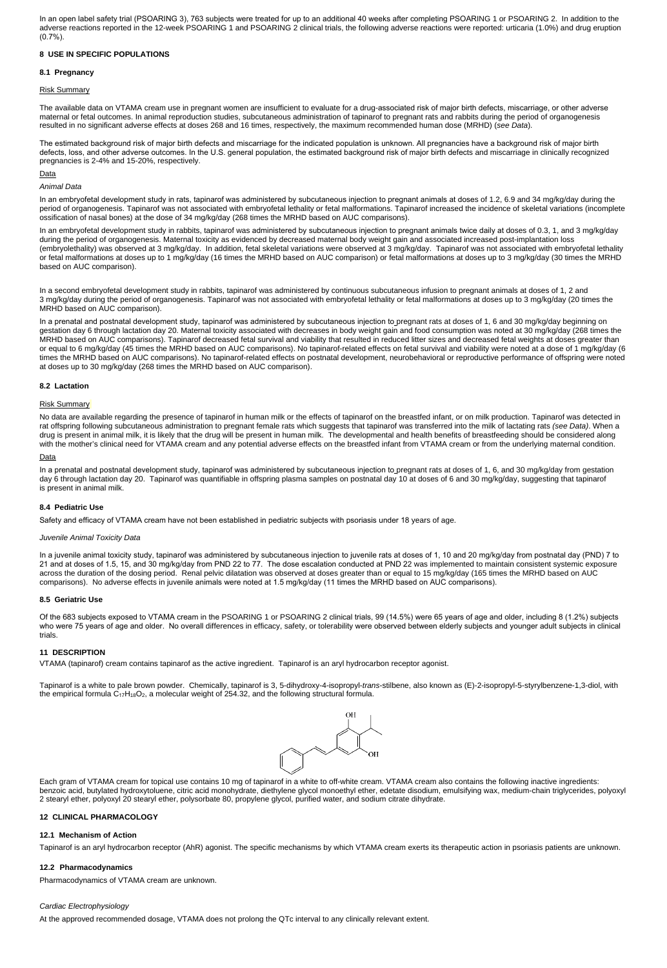In an open label safety trial (PSOARING 3), 763 subjects were treated for up to an additional 40 weeks after completing PSOARING 1 or PSOARING 2. In addition to the adverse reactions reported in the 12-week PSOARING 1 and PSOARING 2 clinical trials, the following adverse reactions were reported: urticaria (1.0%) and drug eruption (0.7%).

# **8.1 Pregnancy**

## **8 USE IN SPECIFIC POPULATIONS**

## Risk Summary

The available data on VTAMA cream use in pregnant women are insufficient to evaluate for a drug-associated risk of major birth defects, miscarriage, or other adverse maternal or fetal outcomes. In animal reproduction studies, subcutaneous administration of tapinarof to pregnant rats and rabbits during the period of organogenesis resulted in no significant adverse effects at doses 268 and 16 times, respectively, the maximum recommended human dose (MRHD) (*see Data*).

The estimated background risk of major birth defects and miscarriage for the indicated population is unknown. All pregnancies have a background risk of major birth defects, loss, and other adverse outcomes. In the U.S. general population, the estimated background risk of major birth defects and miscarriage in clinically recognized pregnancies is 2-4% and 15-20%, respectively.

### **Data**

### *Animal Data*

In an embryofetal development study in rats, tapinarof was administered by subcutaneous injection to pregnant animals at doses of 1.2, 6.9 and 34 mg/kg/day during the period of organogenesis. Tapinarof was not associated with embryofetal lethality or fetal malformations. Tapinarof increased the incidence of skeletal variations (incomplete ossification of nasal bones) at the dose of 34 mg/kg/day (268 times the MRHD based on AUC comparisons).

No data are available regarding the presence of tapinarof in human milk or the effects of tapinarof on the breastfed infant, or on milk production. Tapinarof was detected in rat offspring following subcutaneous administration to pregnant female rats which suggests that tapinarof was transferred into the milk of lactating rats *(see Data)*. When a drug is present in animal milk, it is likely that the drug will be present in human milk. The developmental and health benefits of breastfeeding should be considered along with the mother's clinical need for VTAMA cream and any potential adverse effects on the breastfed infant from VTAMA cream or from the underlying maternal condition.

### **Data**

In an embryofetal development study in rabbits, tapinarof was administered by subcutaneous injection to pregnant animals twice daily at doses of 0.3, 1, and 3 mg/kg/day during the period of organogenesis. Maternal toxicity as evidenced by decreased maternal body weight gain and associated increased post-implantation loss (embryolethality) was observed at 3 mg/kg/day. In addition, fetal skeletal variations were observed at 3 mg/kg/day. Tapinarof was not associated with embryofetal lethality or fetal malformations at doses up to 1 mg/kg/day (16 times the MRHD based on AUC comparison) or fetal malformations at doses up to 3 mg/kg/day (30 times the MRHD based on AUC comparison).

In a second embryofetal development study in rabbits, tapinarof was administered by continuous subcutaneous infusion to pregnant animals at doses of 1, 2 and 3 mg/kg/day during the period of organogenesis. Tapinarof was not associated with embryofetal lethality or fetal malformations at doses up to 3 mg/kg/day (20 times the MRHD based on AUC comparison).

In a prenatal and postnatal development study, tapinarof was administered by subcutaneous injection to pregnant rats at doses of 1, 6 and 30 mg/kg/day beginning on gestation day 6 through lactation day 20. Maternal toxicity associated with decreases in body weight gain and food consumption was noted at 30 mg/kg/day (268 times the MRHD based on AUC comparisons). Tapinarof decreased fetal survival and viability that resulted in reduced litter sizes and decreased fetal weights at doses greater than or equal to 6 mg/kg/day (45 times the MRHD based on AUC comparisons). No tapinarof-related effects on fetal survival and viability were noted at a dose of 1 mg/kg/day (6 times the MRHD based on AUC comparisons). No tapinarof-related effects on postnatal development, neurobehavioral or reproductive performance of offspring were noted at doses up to 30 mg/kg/day (268 times the MRHD based on AUC comparison).

## **8.2 Lactation**

### Risk Summary

In a prenatal and postnatal development study, tapinarof was administered by subcutaneous injection to pregnant rats at doses of 1, 6, and 30 mg/kg/day from gestation day 6 through lactation day 20. Tapinarof was quantifiable in offspring plasma samples on postnatal day 10 at doses of 6 and 30 mg/kg/day, suggesting that tapinarof is present in animal milk.

### **8.4 Pediatric Use**

Safety and efficacy of VTAMA cream have not been established in pediatric subjects with psoriasis under 18 years of age.

### *Juvenile Animal Toxicity Data*

In a juvenile animal toxicity study, tapinarof was administered by subcutaneous injection to juvenile rats at doses of 1, 10 and 20 mg/kg/day from postnatal day (PND) 7 to 21 and at doses of 1.5, 15, and 30 mg/kg/day from PND 22 to 77. The dose escalation conducted at PND 22 was implemented to maintain consistent systemic exposure across the duration of the dosing period. Renal pelvic dilatation was observed at doses greater than or equal to 15 mg/kg/day (165 times the MRHD based on AUC

comparisons). No adverse effects in juvenile animals were noted at 1.5 mg/kg/day (11 times the MRHD based on AUC comparisons).

## **8.5 Geriatric Use**

Of the 683 subjects exposed to VTAMA cream in the PSOARING 1 or PSOARING 2 clinical trials, 99 (14.5%) were 65 years of age and older, including 8 (1.2%) subjects who were 75 years of age and older. No overall differences in efficacy, safety, or tolerability were observed between elderly subjects and younger adult subjects in clinical trials.

## **11 DESCRIPTION**

VTAMA (tapinarof) cream contains tapinarof as the active ingredient. Tapinarof is an aryl hydrocarbon receptor agonist.

Tapinarof is a white to pale brown powder. Chemically, tapinarof is 3, 5-dihydroxy-4-isopropyl-*trans*-stilbene, also known as (E)-2-isopropyl-5-styrylbenzene-1,3-diol, with the empirical formula C17H18O2, a molecular weight of 254.32, and the following structural formula.



Each gram of VTAMA cream for topical use contains 10 mg of tapinarof in a white to off-white cream. VTAMA cream also contains the following inactive ingredients: benzoic acid, butylated hydroxytoluene, citric acid monohydrate, diethylene glycol monoethyl ether, edetate disodium, emulsifying wax, medium-chain triglycerides, polyoxyl 2 stearyl ether, polyoxyl 20 stearyl ether, polysorbate 80, propylene glycol, purified water, and sodium citrate dihydrate.

## **12 CLINICAL PHARMACOLOGY**

## **12.1 Mechanism of Action**

Tapinarof is an aryl hydrocarbon receptor (AhR) agonist. The specific mechanisms by which VTAMA cream exerts its therapeutic action in psoriasis patients are unknown.

## **12.2 Pharmacodynamics**

Pharmacodynamics of VTAMA cream are unknown.

## *Cardiac Electrophysiology*

At the approved recommended dosage, VTAMA does not prolong the QTc interval to any clinically relevant extent.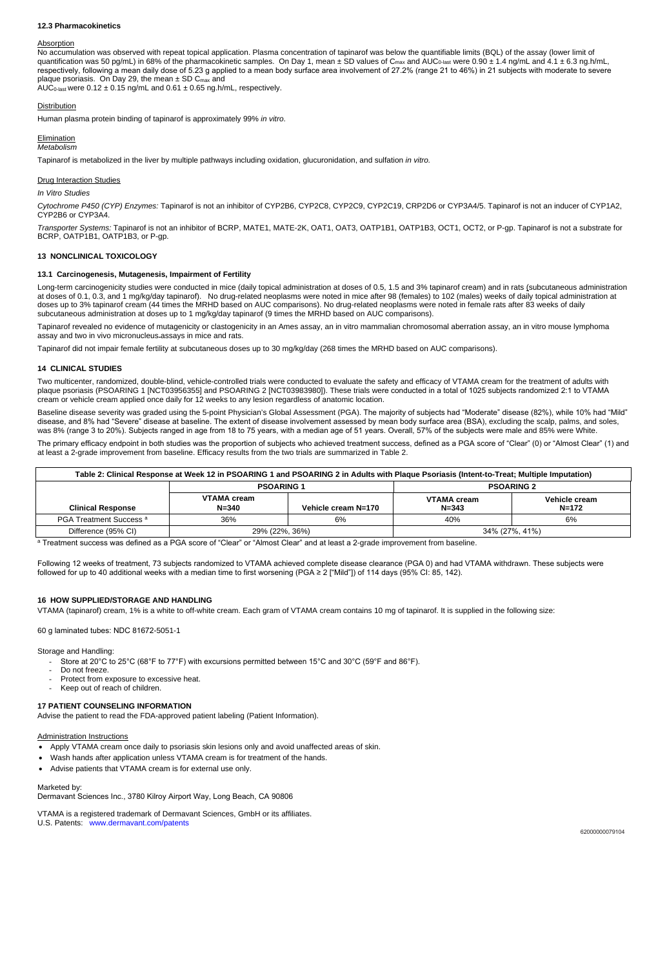## **12.3 Pharmacokinetics**

#### Absorption

respectively, following a mean daily dose of 5.23 g applied to a mean body surface area involvement of 27.2% (range 21 to 46%) in 21 subjects with moderate to severe No accumulation was observed with repeat topical application. Plasma concentration of tapinarof was below the quantifiable limits (BQL) of the assay (lower limit of quantification was 50 pg/mL) in 68% of the pharmacokinetic samples. On Day 1, mean  $\pm$  SD values of C<sub>max</sub> and AUC<sub>0-last</sub> were 0.90  $\pm$  1.4 ng/mL and 4.1  $\pm$  6.3 ng.h/mL, plaque psoriasis. On Day 29, the mean  $\pm$  SD C<sub>max</sub> and AUC<sub>0-last</sub> were  $0.12 \pm 0.15$  ng/mL and  $0.61 \pm 0.65$  ng.h/mL, respectively.

### **Distribution**

Human plasma protein binding of tapinarof is approximately 99% *in vitro*.

## **Elimination**

*Metabolism*

Tapinarof is metabolized in the liver by multiple pathways including oxidation, glucuronidation, and sulfation *in vitro.*

### Drug Interaction Studies

*In Vitro Studies*

*Cytochrome P450 (CYP) Enzymes:* Tapinarof is not an inhibitor of CYP2B6, CYP2C8, CYP2C9, CYP2C19, CRP2D6 or CYP3A4/5. Tapinarof is not an inducer of CYP1A2, CYP2B6 or CYP3A4.

*Transporter Systems:* Tapinarof is not an inhibitor of BCRP, MATE1, MATE-2K, OAT1, OAT3, OATP1B1, OATP1B3, OCT1, OCT2, or P-gp. Tapinarof is not a substrate for BCRP, OATP1B1, OATP1B3, or P-gp.

### **13 NONCLINICAL TOXICOLOGY**

### **13.1 Carcinogenesis, Mutagenesis, Impairment of Fertility**

Baseline disease severity was graded using the 5-point Physician's Global Assessment (PGA). The majority of subjects had "Moderate" disease (82%), while 10% had "Mild" disease, and 8% had "Severe" disease at baseline. The extent of disease involvement assessed by mean body surface area (BSA), excluding the scalp, palms, and soles, was 8% (range 3 to 20%). Subjects ranged in age from 18 to 75 years, with a median age of 51 years. Overall, 57% of the subjects were male and 85% were White.

Long-term carcinogenicity studies were conducted in mice (daily topical administration at doses of 0.5, 1.5 and 3% tapinarof cream) and in rats (subcutaneous administration at doses of 0.1, 0.3, and 1 mg/kg/day tapinarof). No drug-related neoplasms were noted in mice after 98 (females) to 102 (males) weeks of daily topical administration at doses up to 3% tapinarof cream (44 times the MRHD based on AUC comparisons). No drug-related neoplasms were noted in female rats after 83 weeks of daily subcutaneous administration at doses up to 1 mg/kg/day tapinarof (9 times the MRHD based on AUC comparisons).

Tapinarof revealed no evidence of mutagenicity or clastogenicity in an Ames assay, an in vitro mammalian chromosomal aberration assay, an in vitro mouse lymphoma assay and two in vivo micronucleus assays in mice and rats.

Tapinarof did not impair female fertility at subcutaneous doses up to 30 mg/kg/day (268 times the MRHD based on AUC comparisons).

## **14 CLINICAL STUDIES**

Two multicenter, randomized, double-blind, vehicle-controlled trials were conducted to evaluate the safety and efficacy of VTAMA cream for the treatment of adults with plaque psoriasis (PSOARING 1 [NCT03956355] and PSOARING 2 [NCT03983980]). These trials were conducted in a total of 1025 subjects randomized 2:1 to VTAMA cream or vehicle cream applied once daily for 12 weeks to any lesion regardless of anatomic location.

The primary efficacy endpoint in both studies was the proportion of subjects who achieved treatment success, defined as a PGA score of "Clear" (0) or "Almost Clear" (1) and at least a 2-grade improvement from baseline. Efficacy results from the two trials are summarized in Table 2.

| Table 2: Clinical Response at Week 12 in PSOARING 1 and PSOARING 2 in Adults with Plaque Psoriasis (Intent-to-Treat; Multiple Imputation) |                          |                     |                          |                            |  |  |
|-------------------------------------------------------------------------------------------------------------------------------------------|--------------------------|---------------------|--------------------------|----------------------------|--|--|
|                                                                                                                                           | <b>PSOARING 1</b>        |                     | <b>PSOARING 2</b>        |                            |  |  |
| <b>Clinical Response</b>                                                                                                                  | VTAMA cream<br>$N = 340$ | Vehicle cream N=170 | VTAMA cream<br>$N = 343$ | Vehicle cream<br>$N = 172$ |  |  |
| PGA Treatment Success <sup>a</sup>                                                                                                        | 36%                      | 6%                  | 40%                      | 6%                         |  |  |
| Difference (95% CI)                                                                                                                       | 29% (22%, 36%)           |                     | 34% (27%, 41%)           |                            |  |  |

a Treatment success was defined as a PGA score of "Clear" or "Almost Clear" and at least a 2-grade improvement from baseline.

Following 12 weeks of treatment, 73 subjects randomized to VTAMA achieved complete disease clearance (PGA 0) and had VTAMA withdrawn. These subjects were followed for up to 40 additional weeks with a median time to first worsening (PGA ≥ 2 ["Mild"]) of 114 days (95% CI: 85, 142).

### **16 HOW SUPPLIED/STORAGE AND HANDLING**

VTAMA (tapinarof) cream, 1% is a white to off-white cream. Each gram of VTAMA cream contains 10 mg of tapinarof. It is supplied in the following size:

60 g laminated tubes: NDC 81672-5051-1

Storage and Handling:

- Store at 20°C to 25°C (68°F to 77°F) with excursions permitted between 15°C and 30°C (59°F and 86°F).
- Do not freeze.
- Protect from exposure to excessive heat.
- Keep out of reach of children.

## **17 PATIENT COUNSELING INFORMATION**

Advise the patient to read the FDA-approved patient labeling (Patient Information).

Administration Instructions

- Apply VTAMA cream once daily to psoriasis skin lesions only and avoid unaffected areas of skin.
- Wash hands after application unless VTAMA cream is for treatment of the hands.
- Advise patients that VTAMA cream is for external use only.

Marketed by: Dermavant Sciences Inc., 3780 Kilroy Airport Way, Long Beach, CA 90806

VTAMA is a registered trademark of Dermavant Sciences, GmbH or its affiliates. U.S. Patents: www.dermavant.com/patents

62000000079104